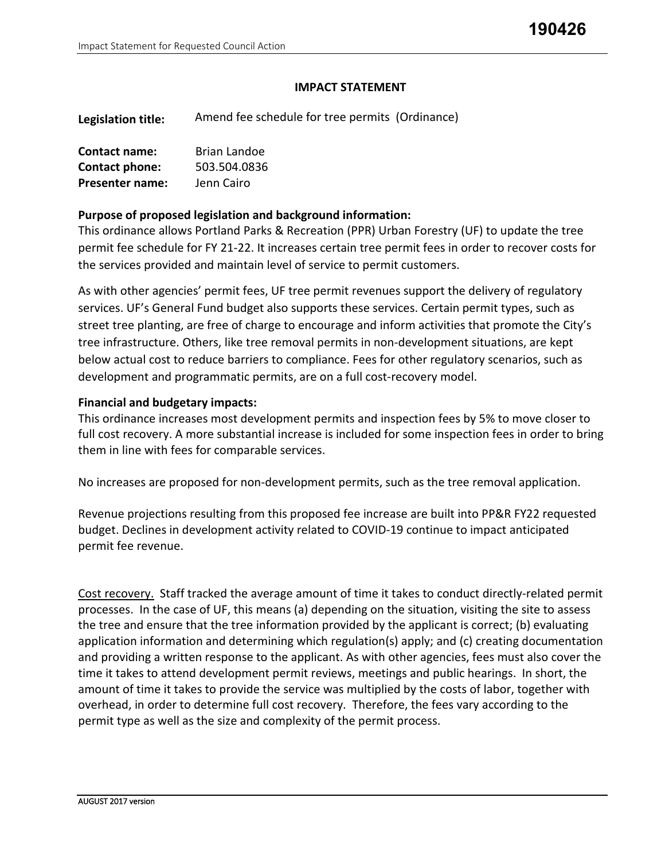### **IMPACT STATEMENT**

**Legislation title:**  Amend fee schedule for tree permits (Ordinance)

| Contact name:          | Brian Landoe |  |  |  |
|------------------------|--------------|--|--|--|
| Contact phone:         | 503.504.0836 |  |  |  |
| <b>Presenter name:</b> | Jenn Cairo   |  |  |  |

### **Purpose of proposed legislation and background information:**

This ordinance allows Portland Parks & Recreation (PPR) Urban Forestry (UF) to update the tree permit fee schedule for FY 21-22. It increases certain tree permit fees in order to recover costs for the services provided and maintain level of service to permit customers.

As with other agencies' permit fees, UF tree permit revenues support the delivery of regulatory services. UF's General Fund budget also supports these services. Certain permit types, such as street tree planting, are free of charge to encourage and inform activities that promote the City's tree infrastructure. Others, like tree removal permits in non-development situations, are kept below actual cost to reduce barriers to compliance. Fees for other regulatory scenarios, such as development and programmatic permits, are on a full cost-recovery model.

### **Financial and budgetary impacts:**

This ordinance increases most development permits and inspection fees by 5% to move closer to full cost recovery. A more substantial increase is included for some inspection fees in order to bring them in line with fees for comparable services.

No increases are proposed for non-development permits, such as the tree removal application.

Revenue projections resulting from this proposed fee increase are built into PP&R FY22 requested budget. Declines in development activity related to COVID-19 continue to impact anticipated permit fee revenue.

Cost recovery. Staff tracked the average amount of time it takes to conduct directly-related permit processes. In the case of UF, this means (a) depending on the situation, visiting the site to assess the tree and ensure that the tree information provided by the applicant is correct; (b) evaluating application information and determining which regulation(s) apply; and (c) creating documentation and providing a written response to the applicant. As with other agencies, fees must also cover the time it takes to attend development permit reviews, meetings and public hearings. In short, the amount of time it takes to provide the service was multiplied by the costs of labor, together with overhead, in order to determine full cost recovery. Therefore, the fees vary according to the permit type as well as the size and complexity of the permit process.